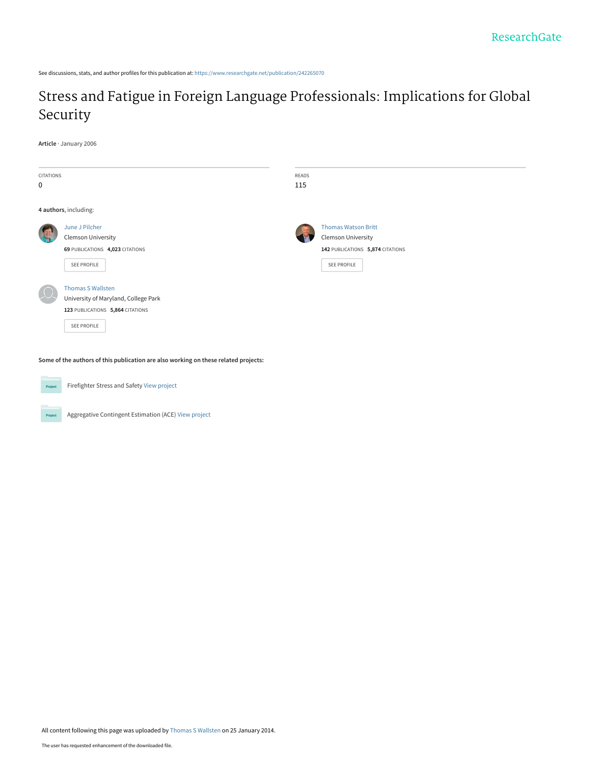See discussions, stats, and author profiles for this publication at: [https://www.researchgate.net/publication/242265070](https://www.researchgate.net/publication/242265070_Stress_and_Fatigue_in_Foreign_Language_Professionals_Implications_for_Global_Security?enrichId=rgreq-3bc516372551a471265d63cccc5e2913-XXX&enrichSource=Y292ZXJQYWdlOzI0MjI2NTA3MDtBUzoxMDMzMDUwMjgwNDY4NDlAMTQwMTY0MTI0NjIwNA%3D%3D&el=1_x_2&_esc=publicationCoverPdf)

# [Stress and Fatigue in Foreign Language Professionals: Implications for Global](https://www.researchgate.net/publication/242265070_Stress_and_Fatigue_in_Foreign_Language_Professionals_Implications_for_Global_Security?enrichId=rgreq-3bc516372551a471265d63cccc5e2913-XXX&enrichSource=Y292ZXJQYWdlOzI0MjI2NTA3MDtBUzoxMDMzMDUwMjgwNDY4NDlAMTQwMTY0MTI0NjIwNA%3D%3D&el=1_x_3&_esc=publicationCoverPdf) Security

**Article** · January 2006

| CITATIONS<br>0        |                                                                                                                     | READS<br>115 |                                                                                                            |
|-----------------------|---------------------------------------------------------------------------------------------------------------------|--------------|------------------------------------------------------------------------------------------------------------|
| 4 authors, including: |                                                                                                                     |              |                                                                                                            |
|                       | June J Pilcher<br><b>Clemson University</b><br>69 PUBLICATIONS 4,023 CITATIONS<br>SEE PROFILE                       |              | <b>Thomas Watson Britt</b><br><b>Clemson University</b><br>142 PUBLICATIONS 5,874 CITATIONS<br>SEE PROFILE |
|                       | <b>Thomas S Wallsten</b><br>University of Maryland, College Park<br>123 PUBLICATIONS 5,864 CITATIONS<br>SEE PROFILE |              |                                                                                                            |

**Some of the authors of this publication are also working on these related projects:**



Project

Firefighter Stress and Safety [View project](https://www.researchgate.net/project/Firefighter-Stress-and-Safety?enrichId=rgreq-3bc516372551a471265d63cccc5e2913-XXX&enrichSource=Y292ZXJQYWdlOzI0MjI2NTA3MDtBUzoxMDMzMDUwMjgwNDY4NDlAMTQwMTY0MTI0NjIwNA%3D%3D&el=1_x_9&_esc=publicationCoverPdf)

Aggregative Contingent Estimation (ACE) [View project](https://www.researchgate.net/project/Aggregative-Contingent-Estimation-ACE?enrichId=rgreq-3bc516372551a471265d63cccc5e2913-XXX&enrichSource=Y292ZXJQYWdlOzI0MjI2NTA3MDtBUzoxMDMzMDUwMjgwNDY4NDlAMTQwMTY0MTI0NjIwNA%3D%3D&el=1_x_9&_esc=publicationCoverPdf)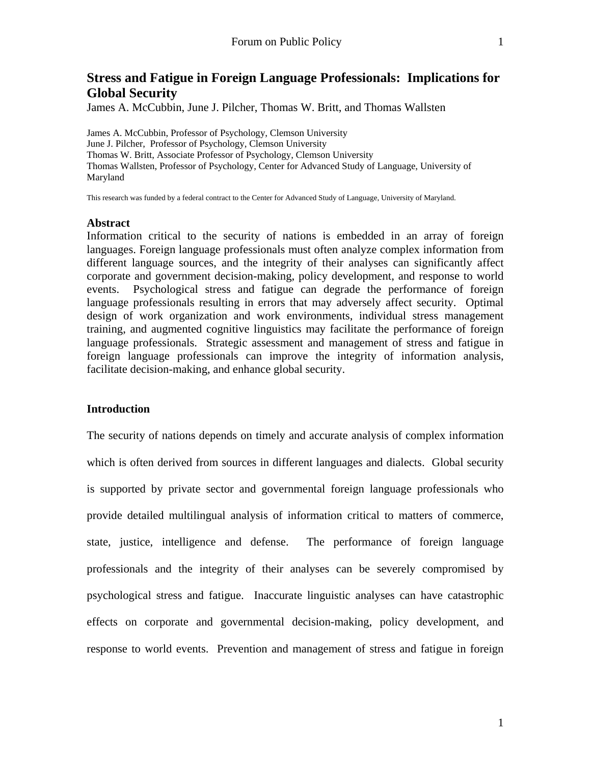# **Stress and Fatigue in Foreign Language Professionals: Implications for Global Security**

James A. McCubbin, June J. Pilcher, Thomas W. Britt, and Thomas Wallsten

James A. McCubbin, Professor of Psychology, Clemson University June J. Pilcher, Professor of Psychology, Clemson University Thomas W. Britt, Associate Professor of Psychology, Clemson University Thomas Wallsten, Professor of Psychology, Center for Advanced Study of Language, University of Maryland

This research was funded by a federal contract to the Center for Advanced Study of Language, University of Maryland.

#### **Abstract**

Information critical to the security of nations is embedded in an array of foreign languages. Foreign language professionals must often analyze complex information from different language sources, and the integrity of their analyses can significantly affect corporate and government decision-making, policy development, and response to world events. Psychological stress and fatigue can degrade the performance of foreign language professionals resulting in errors that may adversely affect security. Optimal design of work organization and work environments, individual stress management training, and augmented cognitive linguistics may facilitate the performance of foreign language professionals. Strategic assessment and management of stress and fatigue in foreign language professionals can improve the integrity of information analysis, facilitate decision-making, and enhance global security.

## **Introduction**

The security of nations depends on timely and accurate analysis of complex information which is often derived from sources in different languages and dialects. Global security is supported by private sector and governmental foreign language professionals who provide detailed multilingual analysis of information critical to matters of commerce, state, justice, intelligence and defense. The performance of foreign language professionals and the integrity of their analyses can be severely compromised by psychological stress and fatigue. Inaccurate linguistic analyses can have catastrophic effects on corporate and governmental decision-making, policy development, and response to world events. Prevention and management of stress and fatigue in foreign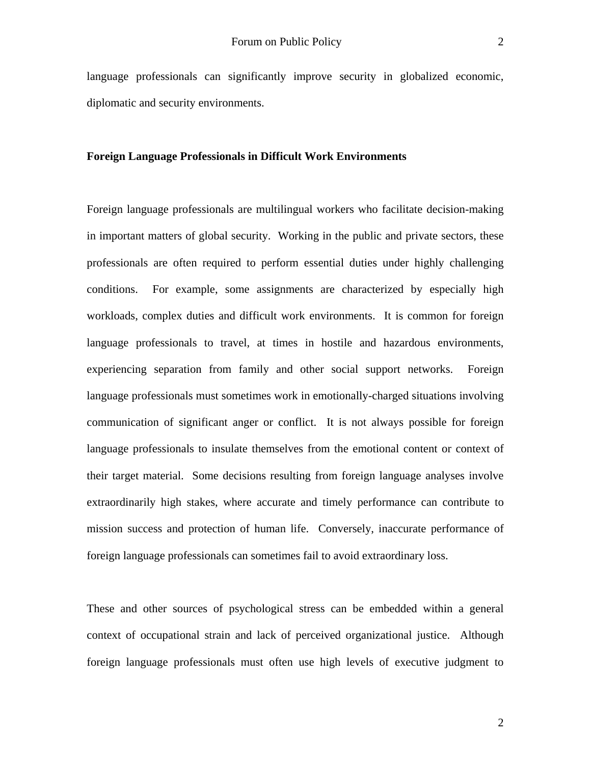language professionals can significantly improve security in globalized economic, diplomatic and security environments.

#### **Foreign Language Professionals in Difficult Work Environments**

Foreign language professionals are multilingual workers who facilitate decision-making in important matters of global security. Working in the public and private sectors, these professionals are often required to perform essential duties under highly challenging conditions. For example, some assignments are characterized by especially high workloads, complex duties and difficult work environments. It is common for foreign language professionals to travel, at times in hostile and hazardous environments, experiencing separation from family and other social support networks. Foreign language professionals must sometimes work in emotionally-charged situations involving communication of significant anger or conflict. It is not always possible for foreign language professionals to insulate themselves from the emotional content or context of their target material. Some decisions resulting from foreign language analyses involve extraordinarily high stakes, where accurate and timely performance can contribute to mission success and protection of human life. Conversely, inaccurate performance of foreign language professionals can sometimes fail to avoid extraordinary loss.

These and other sources of psychological stress can be embedded within a general context of occupational strain and lack of perceived organizational justice. Although foreign language professionals must often use high levels of executive judgment to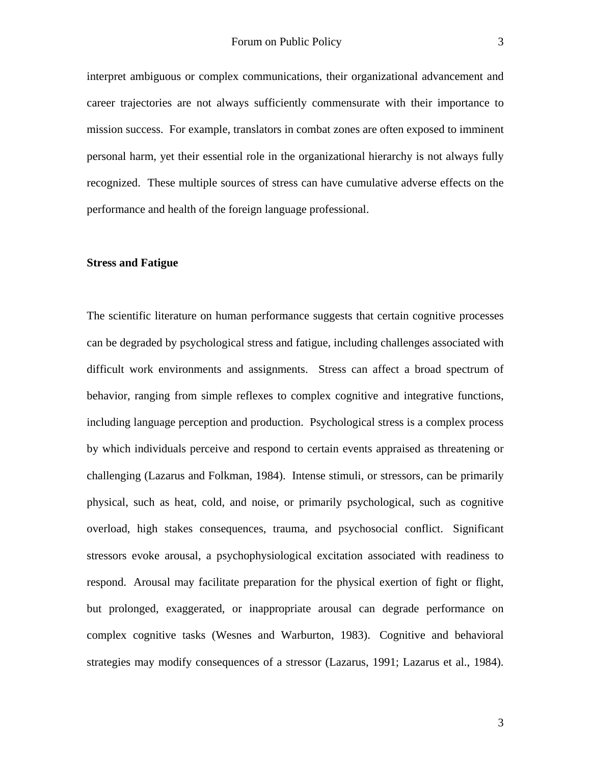interpret ambiguous or complex communications, their organizational advancement and career trajectories are not always sufficiently commensurate with their importance to mission success. For example, translators in combat zones are often exposed to imminent personal harm, yet their essential role in the organizational hierarchy is not always fully recognized. These multiple sources of stress can have cumulative adverse effects on the performance and health of the foreign language professional.

# **Stress and Fatigue**

The scientific literature on human performance suggests that certain cognitive processes can be degraded by psychological stress and fatigue, including challenges associated with difficult work environments and assignments. Stress can affect a broad spectrum of behavior, ranging from simple reflexes to complex cognitive and integrative functions, including language perception and production. Psychological stress is a complex process by which individuals perceive and respond to certain events appraised as threatening or challenging (Lazarus and Folkman, 1984). Intense stimuli, or stressors, can be primarily physical, such as heat, cold, and noise, or primarily psychological, such as cognitive overload, high stakes consequences, trauma, and psychosocial conflict. Significant stressors evoke arousal, a psychophysiological excitation associated with readiness to respond. Arousal may facilitate preparation for the physical exertion of fight or flight, but prolonged, exaggerated, or inappropriate arousal can degrade performance on complex cognitive tasks (Wesnes and Warburton, 1983). Cognitive and behavioral strategies may modify consequences of a stressor (Lazarus, 1991; Lazarus et al., 1984).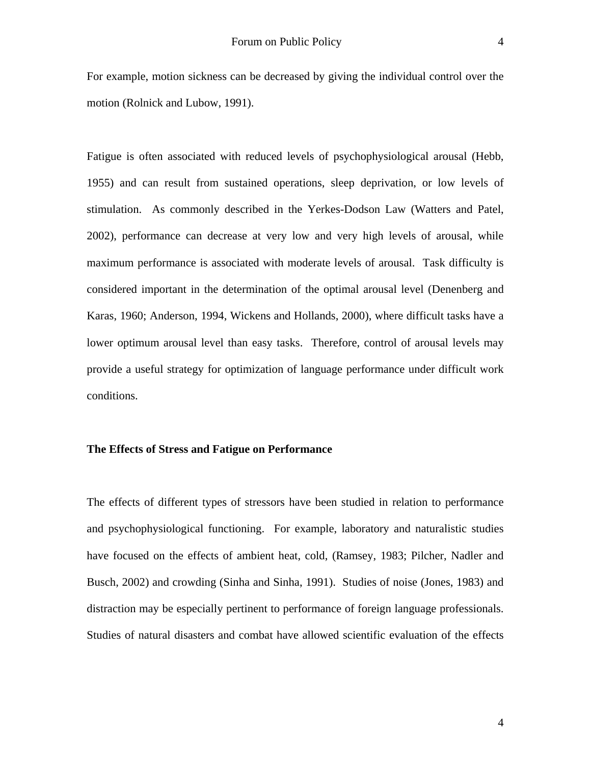For example, motion sickness can be decreased by giving the individual control over the motion (Rolnick and Lubow, 1991).

Fatigue is often associated with reduced levels of psychophysiological arousal (Hebb, 1955) and can result from sustained operations, sleep deprivation, or low levels of stimulation. As commonly described in the Yerkes-Dodson Law (Watters and Patel, 2002), performance can decrease at very low and very high levels of arousal, while maximum performance is associated with moderate levels of arousal. Task difficulty is considered important in the determination of the optimal arousal level (Denenberg and Karas, 1960; Anderson, 1994, Wickens and Hollands, 2000), where difficult tasks have a lower optimum arousal level than easy tasks. Therefore, control of arousal levels may provide a useful strategy for optimization of language performance under difficult work conditions.

# **The Effects of Stress and Fatigue on Performance**

The effects of different types of stressors have been studied in relation to performance and psychophysiological functioning. For example, laboratory and naturalistic studies have focused on the effects of ambient heat, cold, (Ramsey, 1983; Pilcher, Nadler and Busch, 2002) and crowding (Sinha and Sinha, 1991). Studies of noise (Jones, 1983) and distraction may be especially pertinent to performance of foreign language professionals. Studies of natural disasters and combat have allowed scientific evaluation of the effects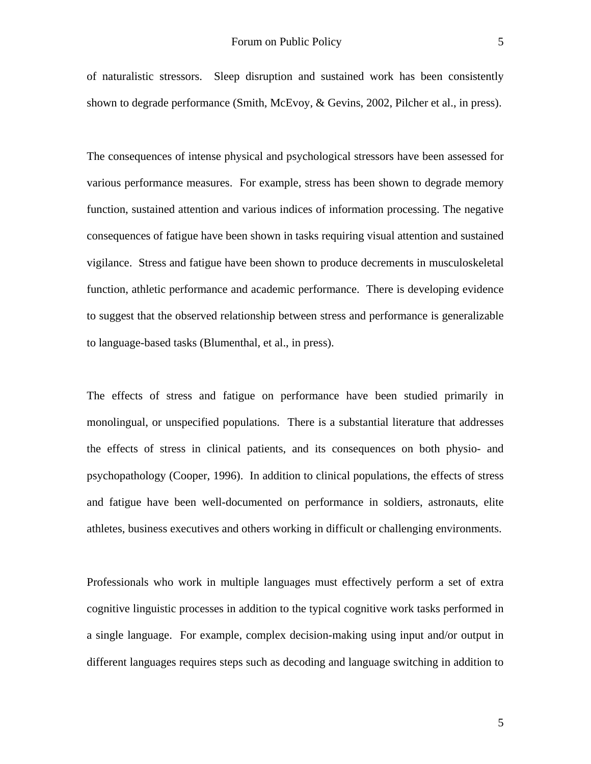of naturalistic stressors. Sleep disruption and sustained work has been consistently shown to degrade performance (Smith, McEvoy, & Gevins, 2002, Pilcher et al., in press).

The consequences of intense physical and psychological stressors have been assessed for various performance measures. For example, stress has been shown to degrade memory function, sustained attention and various indices of information processing. The negative consequences of fatigue have been shown in tasks requiring visual attention and sustained vigilance. Stress and fatigue have been shown to produce decrements in musculoskeletal function, athletic performance and academic performance. There is developing evidence to suggest that the observed relationship between stress and performance is generalizable to language-based tasks (Blumenthal, et al., in press).

The effects of stress and fatigue on performance have been studied primarily in monolingual, or unspecified populations. There is a substantial literature that addresses the effects of stress in clinical patients, and its consequences on both physio- and psychopathology (Cooper, 1996). In addition to clinical populations, the effects of stress and fatigue have been well-documented on performance in soldiers, astronauts, elite athletes, business executives and others working in difficult or challenging environments.

Professionals who work in multiple languages must effectively perform a set of extra cognitive linguistic processes in addition to the typical cognitive work tasks performed in a single language. For example, complex decision-making using input and/or output in different languages requires steps such as decoding and language switching in addition to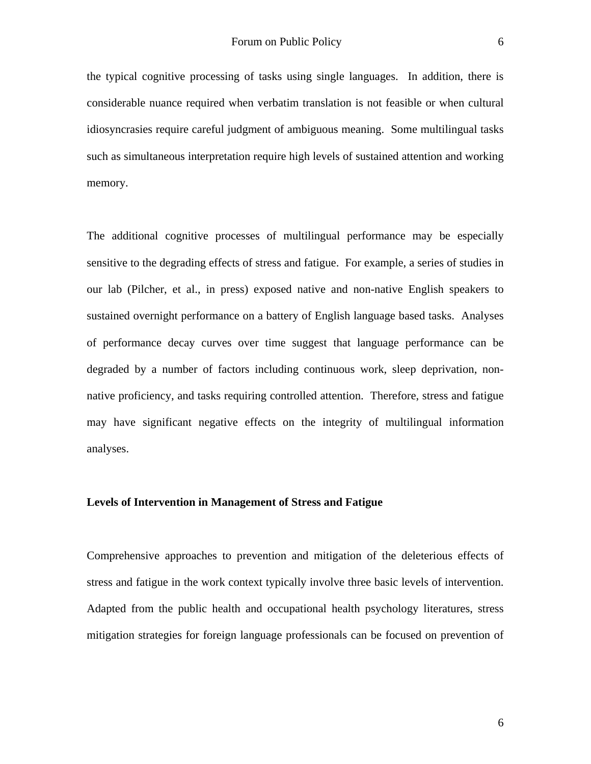the typical cognitive processing of tasks using single languages. In addition, there is considerable nuance required when verbatim translation is not feasible or when cultural idiosyncrasies require careful judgment of ambiguous meaning. Some multilingual tasks such as simultaneous interpretation require high levels of sustained attention and working memory.

The additional cognitive processes of multilingual performance may be especially sensitive to the degrading effects of stress and fatigue. For example, a series of studies in our lab (Pilcher, et al., in press) exposed native and non-native English speakers to sustained overnight performance on a battery of English language based tasks. Analyses of performance decay curves over time suggest that language performance can be degraded by a number of factors including continuous work, sleep deprivation, nonnative proficiency, and tasks requiring controlled attention. Therefore, stress and fatigue may have significant negative effects on the integrity of multilingual information analyses.

#### **Levels of Intervention in Management of Stress and Fatigue**

Comprehensive approaches to prevention and mitigation of the deleterious effects of stress and fatigue in the work context typically involve three basic levels of intervention. Adapted from the public health and occupational health psychology literatures, stress mitigation strategies for foreign language professionals can be focused on prevention of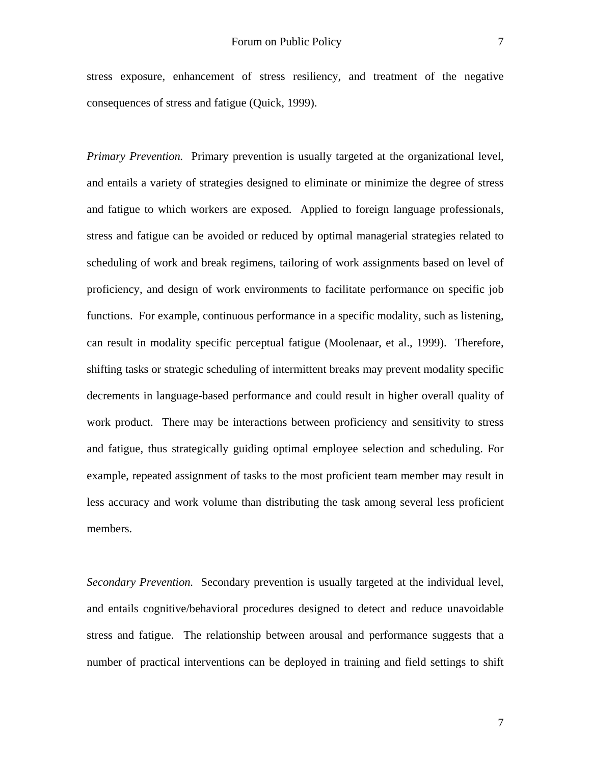stress exposure, enhancement of stress resiliency, and treatment of the negative consequences of stress and fatigue (Quick, 1999).

*Primary Prevention.* Primary prevention is usually targeted at the organizational level, and entails a variety of strategies designed to eliminate or minimize the degree of stress and fatigue to which workers are exposed. Applied to foreign language professionals, stress and fatigue can be avoided or reduced by optimal managerial strategies related to scheduling of work and break regimens, tailoring of work assignments based on level of proficiency, and design of work environments to facilitate performance on specific job functions. For example, continuous performance in a specific modality, such as listening, can result in modality specific perceptual fatigue (Moolenaar, et al., 1999). Therefore, shifting tasks or strategic scheduling of intermittent breaks may prevent modality specific decrements in language-based performance and could result in higher overall quality of work product. There may be interactions between proficiency and sensitivity to stress and fatigue, thus strategically guiding optimal employee selection and scheduling. For example, repeated assignment of tasks to the most proficient team member may result in less accuracy and work volume than distributing the task among several less proficient members.

*Secondary Prevention.* Secondary prevention is usually targeted at the individual level, and entails cognitive/behavioral procedures designed to detect and reduce unavoidable stress and fatigue. The relationship between arousal and performance suggests that a number of practical interventions can be deployed in training and field settings to shift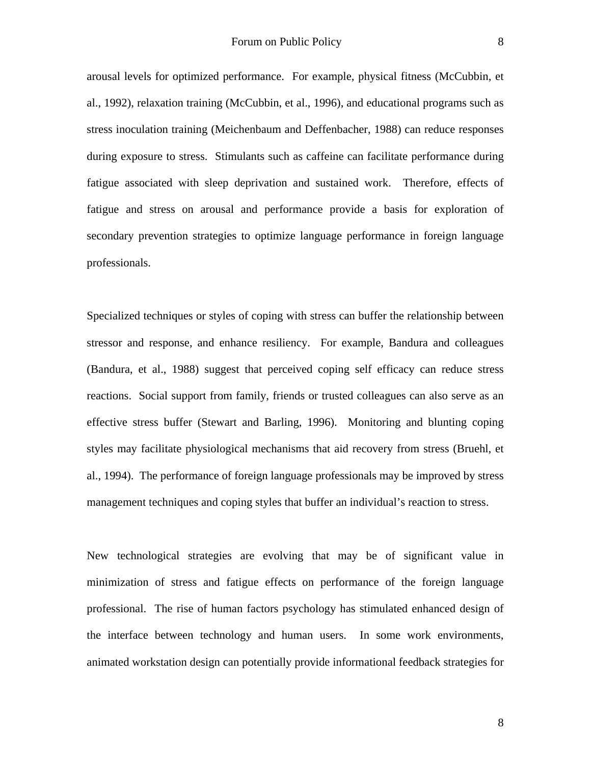arousal levels for optimized performance. For example, physical fitness (McCubbin, et al., 1992), relaxation training (McCubbin, et al., 1996), and educational programs such as stress inoculation training (Meichenbaum and Deffenbacher, 1988) can reduce responses during exposure to stress. Stimulants such as caffeine can facilitate performance during fatigue associated with sleep deprivation and sustained work. Therefore, effects of fatigue and stress on arousal and performance provide a basis for exploration of secondary prevention strategies to optimize language performance in foreign language professionals.

Specialized techniques or styles of coping with stress can buffer the relationship between stressor and response, and enhance resiliency. For example, Bandura and colleagues (Bandura, et al., 1988) suggest that perceived coping self efficacy can reduce stress reactions. Social support from family, friends or trusted colleagues can also serve as an effective stress buffer (Stewart and Barling, 1996). Monitoring and blunting coping styles may facilitate physiological mechanisms that aid recovery from stress (Bruehl, et al., 1994). The performance of foreign language professionals may be improved by stress management techniques and coping styles that buffer an individual's reaction to stress.

New technological strategies are evolving that may be of significant value in minimization of stress and fatigue effects on performance of the foreign language professional. The rise of human factors psychology has stimulated enhanced design of the interface between technology and human users. In some work environments, animated workstation design can potentially provide informational feedback strategies for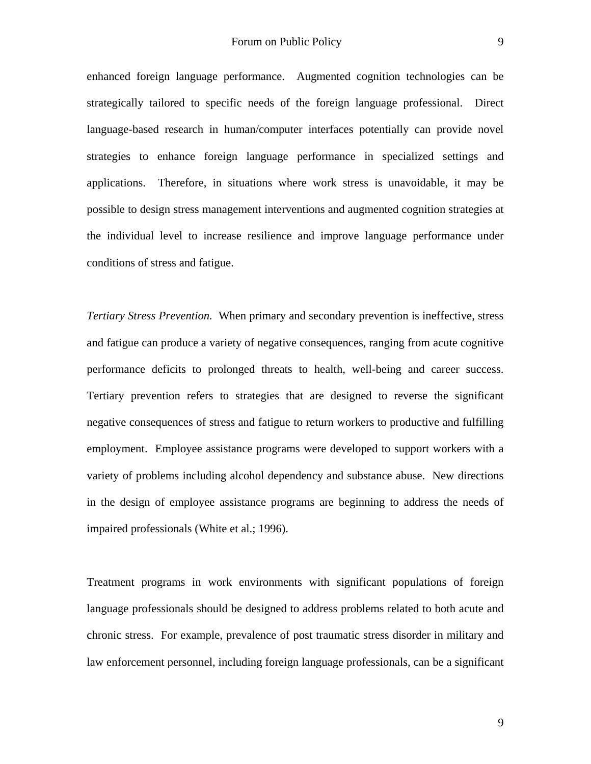enhanced foreign language performance. Augmented cognition technologies can be strategically tailored to specific needs of the foreign language professional. Direct language-based research in human/computer interfaces potentially can provide novel strategies to enhance foreign language performance in specialized settings and applications. Therefore, in situations where work stress is unavoidable, it may be possible to design stress management interventions and augmented cognition strategies at the individual level to increase resilience and improve language performance under conditions of stress and fatigue.

*Tertiary Stress Prevention.* When primary and secondary prevention is ineffective, stress and fatigue can produce a variety of negative consequences, ranging from acute cognitive performance deficits to prolonged threats to health, well-being and career success. Tertiary prevention refers to strategies that are designed to reverse the significant negative consequences of stress and fatigue to return workers to productive and fulfilling employment. Employee assistance programs were developed to support workers with a variety of problems including alcohol dependency and substance abuse. New directions in the design of employee assistance programs are beginning to address the needs of impaired professionals (White et al.; 1996).

Treatment programs in work environments with significant populations of foreign language professionals should be designed to address problems related to both acute and chronic stress. For example, prevalence of post traumatic stress disorder in military and law enforcement personnel, including foreign language professionals, can be a significant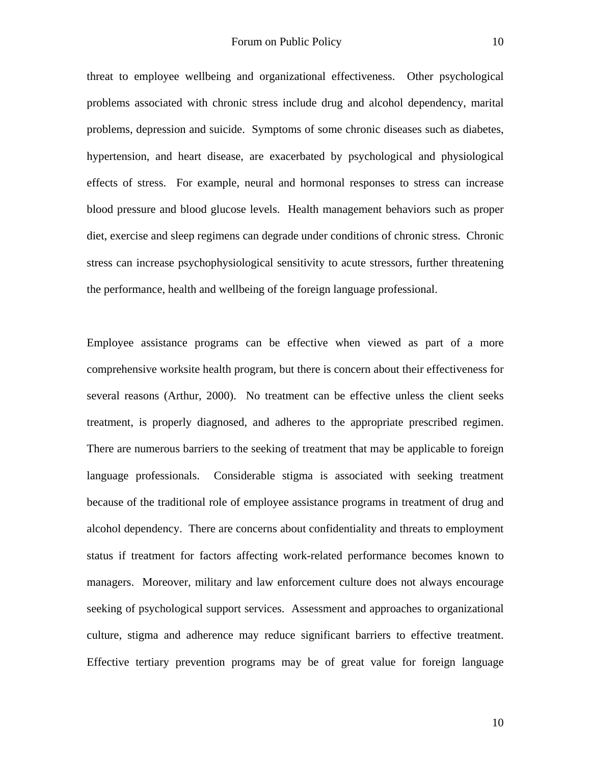threat to employee wellbeing and organizational effectiveness. Other psychological problems associated with chronic stress include drug and alcohol dependency, marital problems, depression and suicide. Symptoms of some chronic diseases such as diabetes, hypertension, and heart disease, are exacerbated by psychological and physiological effects of stress. For example, neural and hormonal responses to stress can increase blood pressure and blood glucose levels. Health management behaviors such as proper diet, exercise and sleep regimens can degrade under conditions of chronic stress. Chronic

stress can increase psychophysiological sensitivity to acute stressors, further threatening the performance, health and wellbeing of the foreign language professional.

Employee assistance programs can be effective when viewed as part of a more comprehensive worksite health program, but there is concern about their effectiveness for several reasons (Arthur, 2000). No treatment can be effective unless the client seeks treatment, is properly diagnosed, and adheres to the appropriate prescribed regimen. There are numerous barriers to the seeking of treatment that may be applicable to foreign language professionals. Considerable stigma is associated with seeking treatment because of the traditional role of employee assistance programs in treatment of drug and alcohol dependency. There are concerns about confidentiality and threats to employment status if treatment for factors affecting work-related performance becomes known to managers. Moreover, military and law enforcement culture does not always encourage seeking of psychological support services. Assessment and approaches to organizational culture, stigma and adherence may reduce significant barriers to effective treatment. Effective tertiary prevention programs may be of great value for foreign language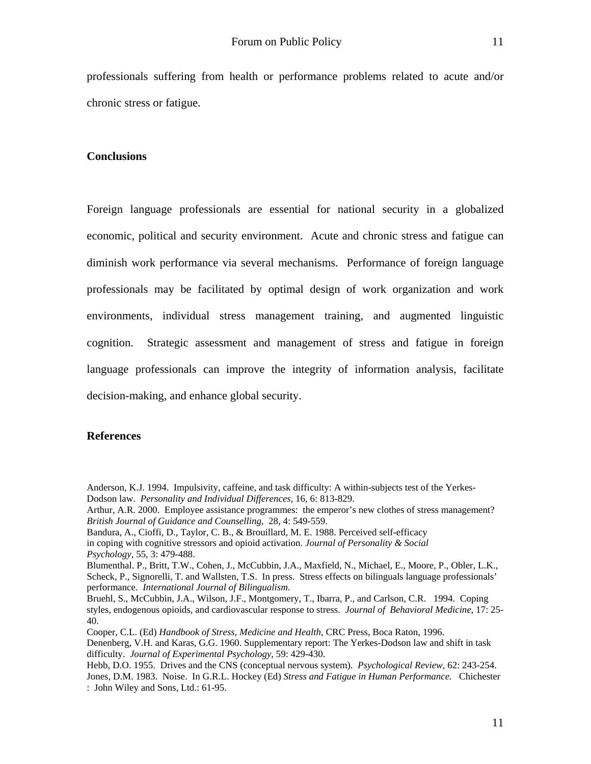professionals suffering from health or performance problems related to acute and/or chronic stress or fatigue.

#### **Conclusions**

Foreign language professionals are essential for national security in a globalized economic, political and security environment. Acute and chronic stress and fatigue can diminish work performance via several mechanisms. Performance of foreign language professionals may be facilitated by optimal design of work organization and work environments, individual stress management training, and augmented linguistic cognition. Strategic assessment and management of stress and fatigue in foreign language professionals can improve the integrity of information analysis, facilitate decision-making, and enhance global security.

# **References**

Anderson, K.J. 1994. [Impulsivity, caffeine, and task difficulty: A within-subjects test of the Yerkes-](javascript:__doLinkPostBack()[Dodson law.](javascript:__doLinkPostBack() *Personality and Individual Differences*, 16, 6: 813-829.

Bandura, A., Cioffi, D., Taylor, C. B., & Brouillard, M. E. 1988. Perceived self-efficacy in coping with cognitive stressors and opioid activation. *Journal of Personality & Social* 

Bruehl, S., McCubbin, J.A., Wilson, J.F., Montgomery, T., Ibarra, P., and Carlson, C.R. 1994. Coping styles, endogenous opioids, and cardiovascular response to stress. *Journal of Behavioral Medicine*, 17: 25- 40.

Cooper, C.L. (Ed) *Handbook of Stress, Medicine and Health*, CRC Press, Boca Raton, 1996. Denenberg, V.H. and Karas, G.G. 1960. [Supplementary report: The Yerkes-Dodson law and shift in task](javascript:__doLinkPostBack()  [difficulty.](javascript:__doLinkPostBack() *Journal of Experimental Psychology*, 59: 429-430.

Hebb, D.O. 1955. Drives and the CNS (conceptual nervous system). *Psychological Review*, 62: 243-254. Jones, D.M. 1983. Noise. In G.R.L. Hockey (Ed) *Stress and Fatigue in Human Performance.* Chichester : John Wiley and Sons, Ltd.: 61-95.

Arthur, A.R. 2000. Employee assistance programmes: the emperor's new clothes of stress management? *British Journal of Guidance and Counselling*, 28, 4: 549-559.

*Psychology,* 55, 3: 479-488.

Blumenthal. P., Britt, T.W., Cohen, J., McCubbin, J.A., Maxfield, N., Michael, E., Moore, P., Obler, L.K., Scheck, P., Signorelli, T. and Wallsten, T.S. In press. Stress effects on bilinguals language professionals' performance. *International Journal of Bilingualism*.